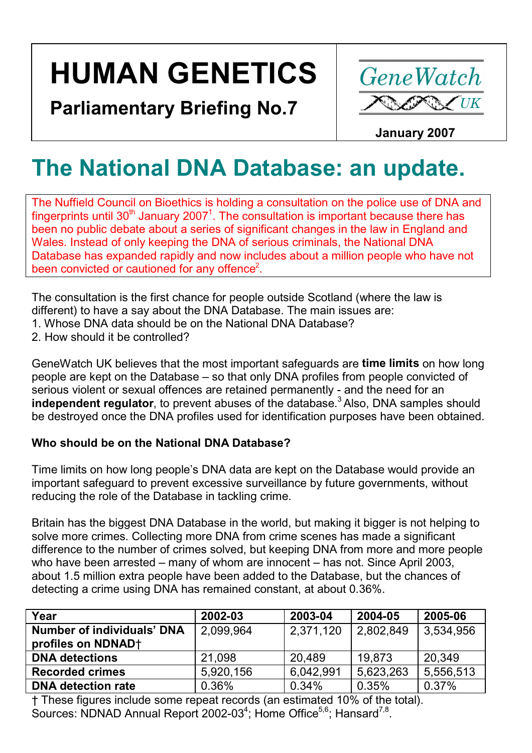# **HUMAN GENETICS**

**Parliamentary Briefing No.7** 



 **January 2007**

## **The National DNA Database: an update.**

The Nuffield Council on Bioethics is holding a consultation on the police use of DNA and fingerprints until 30<sup>th</sup> January 2007<sup>1</sup>. The consultation is important because there has been no public debate about a series of significant changes in the law in England and Wales. Instead of only keeping the DNA of serious criminals, the National DNA Database has expanded rapidly and now includes about a million people who have not been convicted or cautioned for any offence<sup>2</sup>.

The consultation is the first chance for people outside Scotland (where the law is different) to have a say about the DNA Database. The main issues are:

- 1. Whose DNA data should be on the National DNA Database?
- 2. How should it be controlled?

GeneWatch UK believes that the most important safeguards are **time limits** on how long people are kept on the Database – so that only DNA profiles from people convicted of serious violent or sexual offences are retained permanently - and the need for an **independent regulator**, to prevent abuses of the database.<sup>3</sup> Also, DNA samples should be destroyed once the DNA profiles used for identification purposes have been obtained.

### **Who should be on the National DNA Database?**

Time limits on how long people's DNA data are kept on the Database would provide an important safeguard to prevent excessive surveillance by future governments, without reducing the role of the Database in tackling crime.

Britain has the biggest DNA Database in the world, but making it bigger is not helping to solve more crimes. Collecting more DNA from crime scenes has made a significant difference to the number of crimes solved, but keeping DNA from more and more people who have been arrested – many of whom are innocent – has not. Since April 2003, about 1.5 million extra people have been added to the Database, but the chances of detecting a crime using DNA has remained constant, at about 0.36%.

| 2002-03   | 2003-04   | 2004-05   | 2005-06   |
|-----------|-----------|-----------|-----------|
| 2,099,964 | 2,371,120 | 2,802,849 | 3,534,956 |
|           |           |           |           |
| 21.098    | 20,489    | 19.873    | 20,349    |
| 5,920,156 | 6,042,991 | 5,623,263 | 5,556,513 |
| 0.36%     | 0.34%     | 0.35%     | 0.37%     |
|           |           |           |           |

† These figures include some repeat records (an estimated 10% of the total). Sources: NDNAD Annual Report 2002-03<sup>4</sup>; Home Office<sup>5,6</sup>; Hansard<sup>7,8</sup>.